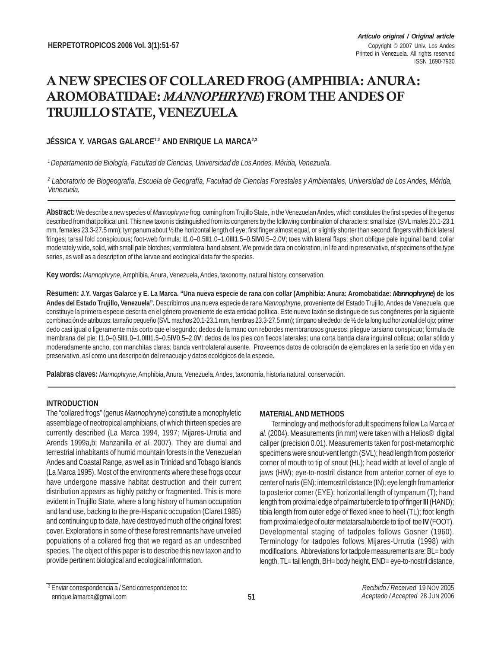# A NEW SPECIES OF COLLARED FROG (AMPHIBIA: ANURA: AROMOBATIDAE: *MANNOPHRYNE*) FROM THE ANDES OF TRUJILLO STATE, VENEZUELA

# **JÉSSICA Y. VARGAS GALARCE1,2 AND ENRIQUE LA MARCA2,3**

*1 Departamento de Biología, Facultad de Ciencias, Universidad de Los Andes, Mérida, Venezuela.*

*2 Laboratorio de Biogeografía, Escuela de Geografía, Facultad de Ciencias Forestales y Ambientales, Universidad de Los Andes, Mérida, Venezuela.*

**Abstract:** We describe a new species of *Mannophryne* frog, coming from Trujillo State, in the Venezuelan Andes, which constitutes the first species of the genus described from that political unit. This new taxon is distinguished from its congeners by the following combination of characters: small size (SVL males 20.1-23.1 mm, females 23.3-27.5 mm); tympanum about ½ the horizontal length of eye; first finger almost equal, or slightly shorter than second; fingers with thick lateral fringes; tarsal fold conspicuous; foot-web formula: **I**1.0–0.5**II**1.0–1.0**III**1.5–0.5**IV**0.5–2.0**V**; toes with lateral flaps; short oblique pale inguinal band; collar moderately wide, solid, with small pale blotches; ventrolateral band absent. We provide data on coloration, in life and in preservative, of specimens of the type series, as well as a description of the larvae and ecological data for the species.

**Key words:** *Mannophryne*, Amphibia, Anura, Venezuela, Andes, taxonomy, natural history, conservation.

**Resumen: J.Y. Vargas Galarce y E. La Marca. "Una nueva especie de rana con collar (Amphibia: Anura: Aromobatidae:** *Mannophryne***) de los Andes del Estado Trujillo, Venezuela".** Describimos una nueva especie de rana *Mannophryne*, proveniente del Estado Trujillo, Andes de Venezuela, que constituye la primera especie descrita en el género proveniente de esta entidad política. Este nuevo taxón se distingue de sus congéneres por la siguiente combinación de atributos: tamaño pequeño (SVL machos 20.1-23.1 mm, hembras 23.3-27.5 mm); tímpano alrededor de ½ de la longitud horizontal del ojo; primer dedo casi igual o ligeramente más corto que el segundo; dedos de la mano con rebordes membranosos gruesos; pliegue tarsiano conspicuo; fórmula de membrana del pie: **I**1.0–0.5**II**1.0–1.0**III**1.5–0.5**IV**0.5–2.0**V**; dedos de los pies con flecos laterales; una corta banda clara inguinal oblicua; collar sólido y moderadamente ancho, con manchitas claras; banda ventrolateral ausente. Proveemos datos de coloración de ejemplares en la serie tipo en vida y en preservativo, así como una descripción del renacuajo y datos ecológicos de la especie.

**Palabras claves:** *Mannophryne*, Amphibia, Anura, Venezuela, Andes, taxonomía, historia natural, conservación.

# **INTRODUCTION**

The "collared frogs" (genus *Mannophryne*) constitute a monophyletic assemblage of neotropical amphibians, of which thirteen species are currently described (La Marca 1994, 1997; Mijares-Urrutia and Arends 1999a,b; Manzanilla *et al*. 2007). They are diurnal and terrestrial inhabitants of humid mountain forests in the Venezuelan Andes and Coastal Range, as well as in Trinidad and Tobago islands (La Marca 1995). Most of the environments where these frogs occur have undergone massive habitat destruction and their current distribution appears as highly patchy or fragmented. This is more evident in Trujillo State, where a long history of human occupation and land use, backing to the pre-Hispanic occupation (Claret 1985) and continuing up to date, have destroyed much of the original forest cover. Explorations in some of these forest remnants have unveiled populations of a collared frog that we regard as an undescribed species. The object of this paper is to describe this new taxon and to provide pertinent biological and ecological information.

# **MATERIAL AND METHODS**

Terminology and methods for adult specimens follow La Marca *et al*. (2004). Measurements (in mm) were taken with a Helios® digital caliper (precision 0.01). Measurements taken for post-metamorphic specimens were snout-vent length (SVL); head length from posterior corner of mouth to tip of snout (HL); head width at level of angle of jaws (HW); eye-to-nostril distance from anterior corner of eye to center of naris (EN); internostril distance (IN); eye length from anterior to posterior corner (EYE); horizontal length of tympanum (T); hand length from proximal edge of palmar tubercle to tip of finger **III** (HAND); tibia length from outer edge of flexed knee to heel (TL); foot length from proximal edge of outer metatarsal tubercle to tip of toe **IV** (FOOT). Developmental staging of tadpoles follows Gosner (1960). Terminology for tadpoles follows Mijares-Urrutia (1998) with modifications. Abbreviations for tadpole measurements are: BL= body length, TL= tail length, BH= body height, END= eye-to-nostril distance,

<sup>3</sup> Enviar correspondencia a / Send correspondence to: enrique.lamarca@gmail.com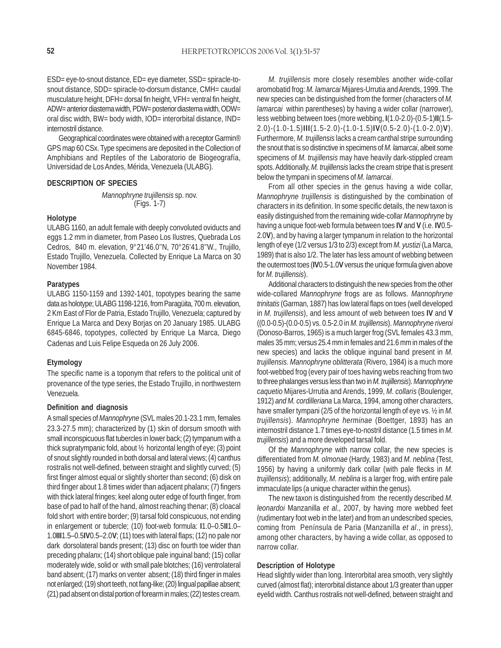ESD= eye-to-snout distance, ED= eye diameter, SSD= spiracle-tosnout distance, SDD= spiracle-to-dorsum distance, CMH= caudal musculature height, DFH= dorsal fin height, VFH= ventral fin height, ADW= anterior diastema width, PDW= posterior diastema width, ODW= oral disc width, BW= body width, IOD= interorbital distance, IND= internostril distance.

Geographical coordinates were obtained with a receptor Garmin® GPS map 60 CSx. Type specimens are deposited in the Collection of Amphibians and Reptiles of the Laboratorio de Biogeografía, Universidad de Los Andes, Mérida, Venezuela (ULABG).

#### **DESCRIPTION OF SPECIES**

*Mannophryne trujillensis* sp. nov. (Figs. 1-7)

## **Holotype**

ULABG 1160, an adult female with deeply convoluted oviducts and eggs 1.2 mm in diameter, from Paseo Los Ilustres, Quebrada Los Cedros, 840 m. elevation, 9°21'46.0''N, 70°26'41.8''W., Trujillo, Estado Trujillo, Venezuela. Collected by Enrique La Marca on 30 November 1984.

### **Paratypes**

ULABG 1150-1159 and 1392-1401, topotypes bearing the same data as holotype; ULABG 1198-1216, from Paragüita, 700 m. elevation, 2 Km East of Flor de Patria, Estado Trujillo, Venezuela; captured by Enrique La Marca and Dexy Borjas on 20 January 1985. ULABG 6845-6846, topotypes, collected by Enrique La Marca, Diego Cadenas and Luis Felipe Esqueda on 26 July 2006.

## **Etymology**

The specific name is a toponym that refers to the political unit of provenance of the type series, the Estado Trujillo, in northwestern Venezuela.

#### **Definition and diagnosis**

A small species of *Mannophryne* (SVL males 20.1-23.1 mm, females 23.3-27.5 mm); characterized by (1) skin of dorsum smooth with small inconspicuous flat tubercles in lower back; (2) tympanum with a thick supratympanic fold, about ½ horizontal length of eye; (3) point of snout slightly rounded in both dorsal and lateral views; (4) canthus rostralis not well-defined, between straight and slightly curved; (5) first finger almost equal or slightly shorter than second; (6) disk on third finger about 1.8 times wider than adjacent phalanx; (7) fingers with thick lateral fringes; keel along outer edge of fourth finger, from base of pad to half of the hand, almost reaching thenar; (8) cloacal fold short with entire border; (9) tarsal fold conspicuous, not ending in enlargement or tubercle; (10) foot-web formula: **I**1.0–0.5**II**1.0– 1.0**III**1.5–0.5**IV**0.5–2.0**V**; (11) toes with lateral flaps; (12) no pale nor dark dorsolateral bands present; (13) disc on fourth toe wider than preceding phalanx; (14) short oblique pale inguinal band; (15) collar moderately wide, solid or with small pale blotches; (16) ventrolateral band absent; (17) marks on venter absent; (18) third finger in males not enlarged; (19) short teeth, not fang-like; (20) lingual papillae absent; (21) pad absent on distal portion of forearm in males; (22) testes cream.

*M. trujillensis* more closely resembles another wide-collar aromobatid frog: *M. lamarcai* Mijares-Urrutia and Arends, 1999. The new species can be distinguished from the former (characters of *M. lamarcai* within parentheses) by having a wider collar (narrower), less webbing between toes (more webbing, **I**(1.0-2.0)-(0.5-1)**II**(1.5- 2.0)-(1.0-1.5)**III**(1.5-2.0)-(1.0-1.5)**IV**(0.5-2.0)-(1.0-2.0)**V**). Furthermore, *M. trujillensis* lacks a cream canthal stripe surrounding the snout that is so distinctive in specimens of *M. lamarcai*, albeit some specimens of *M. trujillensis* may have heavily dark-stippled cream spots. Additionally, *M. trujillensis* lacks the cream stripe that is present below the tympani in specimens of *M. lamarcai*.

From all other species in the genus having a wide collar, *Mannophryne trujillensis* is distinguished by the combination of characters in its definition. In some specific details, the new taxon is easily distinguished from the remaining wide-collar *Mannophryne* by having a unique foot-web formula between toes **IV** and **V** (i.e. **IV**0.5- 2.0**V**), and by having a larger tympanum in relation to the horizontal length of eye (1/2 versus 1/3 to 2/3) except from *M. yustizi* (La Marca, 1989) that is also 1/2. The later has less amount of webbing between the outermost toes (**IV**0.5-1.0**V** versus the unique formula given above for *M. trujillensis*).

Additional characters to distinguish the new species from the other wide-collared *Mannophryne* frogs are as follows. *Mannophryne trinitatis* (Garman, 1887) has low lateral flaps on toes (well developed in *M. trujillensis*), and less amount of web between toes **IV** and **V** ((0.0-0.5)-(0.0-0.5) vs. 0.5-2.0 in *M. trujillensis*). *Mannophryne riveroi* (Donoso-Barros, 1965) is a much larger frog (SVL females 43.3 mm, males 35 mm; versus 25.4 mm in females and 21.6 mm in males of the new species) and lacks the oblique inguinal band present in *M. trujillensis*. *Mannophryne oblitterata* (Rivero, 1984) is a much more foot-webbed frog (every pair of toes having webs reaching from two to three phalanges versus less than two in *M. trujillensis*). *Mannophryne caquetio* Mijares-Urrutia and Arends, 1999, *M. collaris* (Boulenger, 1912) *and M. cordilleriana* La Marca, 1994, among other characters, have smaller tympani (2/5 of the horizontal length of eye vs. ½ in *M. trujillensis*). *Mannophryne herminae* (Boettger, 1893) has an internostril distance 1.7 times eye-to-nostril distance (1.5 times in *M. trujillensis*) and a more developed tarsal fold.

Of the *Mannophryne* with narrow collar, the new species is differentiated from *M. olmonae* (Hardy, 1983) and *M. neblina* (Test, 1956) by having a uniformly dark collar (with pale flecks in *M. trujillensis*); additionally, *M. neblina* is a larger frog, with entire pale immaculate lips (a unique character within the genus).

The new taxon is distinguished from the recently described *M. leonardoi* Manzanilla *et al*., 2007, by having more webbed feet (rudimentary foot web in the later) and from an undescribed species, coming from Península de Paria (Manzanilla *et al*., in press), among other characters, by having a wide collar, as opposed to narrow collar.

## **Description of Holotype**

Head slightly wider than long. Interorbital area smooth, very slightly curved (almost flat); interorbital distance about 1/3 greater than upper eyelid width. Canthus rostralis not well-defined, between straight and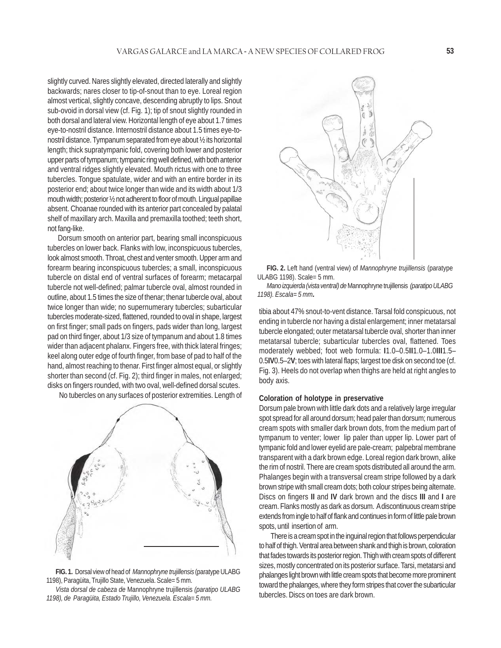slightly curved. Nares slightly elevated, directed laterally and slightly backwards; nares closer to tip-of-snout than to eye. Loreal region almost vertical, slightly concave, descending abruptly to lips. Snout sub-ovoid in dorsal view (cf. Fig. 1); tip of snout slightly rounded in both dorsal and lateral view. Horizontal length of eye about 1.7 times eye-to-nostril distance. Internostril distance about 1.5 times eye-tonostril distance. Tympanum separated from eye about ½ its horizontal length; thick supratympanic fold, covering both lower and posterior upper parts of tympanum; tympanic ring well defined, with both anterior and ventral ridges slightly elevated. Mouth rictus with one to three tubercles. Tongue spatulate, wider and with an entire border in its posterior end; about twice longer than wide and its width about 1/3 mouth width; posterior ½ not adherent to floor of mouth. Lingual papillae absent. Choanae rounded with its anterior part concealed by palatal shelf of maxillary arch. Maxilla and premaxilla toothed; teeth short, not fang-like.

 Dorsum smooth on anterior part, bearing small inconspicuous tubercles on lower back. Flanks with low, inconspicuous tubercles, look almost smooth. Throat, chest and venter smooth. Upper arm and forearm bearing inconspicuous tubercles; a small, inconspicuous tubercle on distal end of ventral surfaces of forearm; metacarpal tubercle not well-defined; palmar tubercle oval, almost rounded in outline, about 1.5 times the size of thenar; thenar tubercle oval, about twice longer than wide; no supernumerary tubercles; subarticular tubercles moderate-sized, flattened, rounded to oval in shape, largest on first finger; small pads on fingers, pads wider than long, largest pad on third finger, about 1/3 size of tympanum and about 1.8 times wider than adjacent phalanx. Fingers free, with thick lateral fringes; keel along outer edge of fourth finger, from base of pad to half of the hand, almost reaching to thenar. First finger almost equal, or slightly shorter than second (cf. Fig. 2); third finger in males, not enlarged; disks on fingers rounded, with two oval, well-defined dorsal scutes.

No tubercles on any surfaces of posterior extremities. Length of



**FIG. 1.** Dorsal view of head of *Mannophryne trujillensis* (paratype ULABG 1198), Paragüita, Trujillo State, Venezuela. Scale= 5 mm.

*Vista dorsal de cabeza de* Mannophryne trujillensis *(paratipo ULABG 1198), de Paragüita, Estado Trujillo, Venezuela. Escala= 5 mm.*



**FIG. 2.** Left hand (ventral view) of *Mannophryne trujillensis* (paratype ULABG 1198). Scale= 5 mm.

*Mano izquierda (vista ventral) de* Mannophryne trujillensis *(paratipo ULABG 1198). Escala= 5 mm.*

tibia about 47% snout-to-vent distance. Tarsal fold conspicuous, not ending in tubercle nor having a distal enlargement; inner metatarsal tubercle elongated; outer metatarsal tubercle oval, shorter than inner metatarsal tubercle; subarticular tubercles oval, flattened. Toes moderately webbed; foot web formula: **I**1.0–0.5**II**1.0–1.0**III**1.5– 0.5**IV**0.5–2**V**; toes with lateral flaps; largest toe disk on second toe (cf. Fig. 3). Heels do not overlap when thighs are held at right angles to body axis.

# **Coloration of holotype in preservative**

Dorsum pale brown with little dark dots and a relatively large irregular spot spread for all around dorsum; head paler than dorsum; numerous cream spots with smaller dark brown dots, from the medium part of tympanum to venter; lower lip paler than upper lip. Lower part of tympanic fold and lower eyelid are pale-cream; palpebral membrane transparent with a dark brown edge. Loreal region dark brown, alike the rim of nostril. There are cream spots distributed all around the arm. Phalanges begin with a transversal cream stripe followed by a dark brown stripe with small cream dots; both colour stripes being alternate. Discs on fingers **II** and **IV** dark brown and the discs **III** and **I** are cream. Flanks mostly as dark as dorsum. A discontinuous cream stripe extends from ingle to half of flank and continues in form of little pale brown spots, until insertion of arm.

There is a cream spot in the inguinal region that follows perpendicular to half of thigh. Ventral area between shank and thigh is brown, coloration that fades towards its posterior region. Thigh with cream spots of different sizes, mostly concentrated on its posterior surface. Tarsi, metatarsi and phalanges light brown with little cream spots that become more prominent toward the phalanges, where they form stripes that cover the subarticular tubercles. Discs on toes are dark brown.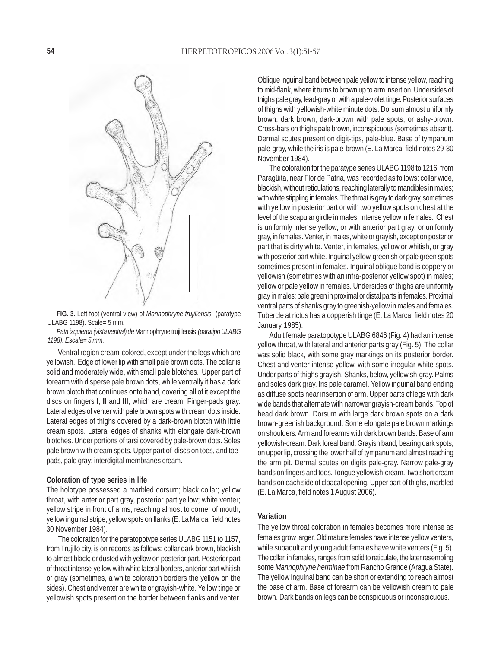

**FIG. 3.** Left foot (ventral view) of *Mannophryne trujillensis* (paratype ULABG 1198). Scale= 5 mm.

*Pata izquierda (vista ventral) de* Mannophryne trujillensis *(paratipo ULABG 1198). Escala= 5 mm.*

Ventral region cream-colored, except under the legs which are yellowish. Edge of lower lip with small pale brown dots. The collar is solid and moderately wide, with small pale blotches. Upper part of forearm with disperse pale brown dots, while ventrally it has a dark brown blotch that continues onto hand, covering all of it except the discs on fingers **I**, **II** and **III**, which are cream. Finger-pads gray. Lateral edges of venter with pale brown spots with cream dots inside. Lateral edges of thighs covered by a dark-brown blotch with little cream spots. Lateral edges of shanks with elongate dark-brown blotches. Under portions of tarsi covered by pale-brown dots. Soles pale brown with cream spots. Upper part of discs on toes, and toepads, pale gray; interdigital membranes cream.

### **Coloration of type series in life**

The holotype possessed a marbled dorsum; black collar; yellow throat, with anterior part gray, posterior part yellow; white venter; yellow stripe in front of arms, reaching almost to corner of mouth; yellow inguinal stripe; yellow spots on flanks (E. La Marca, field notes 30 November 1984).

The coloration for the paratopotype series ULABG 1151 to 1157, from Trujillo city, is on records as follows: collar dark brown, blackish to almost black; or dusted with yellow on posterior part. Posterior part of throat intense-yellow with white lateral borders, anterior part whitish or gray (sometimes, a white coloration borders the yellow on the sides). Chest and venter are white or grayish-white. Yellow tinge or yellowish spots present on the border between flanks and venter.

Oblique inguinal band between pale yellow to intense yellow, reaching to mid-flank, where it turns to brown up to arm insertion. Undersides of thighs pale gray, lead-gray or with a pale-violet tinge. Posterior surfaces of thighs with yellowish-white minute dots. Dorsum almost uniformly brown, dark brown, dark-brown with pale spots, or ashy-brown. Cross-bars on thighs pale brown, inconspicuous (sometimes absent). Dermal scutes present on digit-tips, pale-blue. Base of tympanum pale-gray, while the iris is pale-brown (E. La Marca, field notes 29-30 November 1984).

The coloration for the paratype series ULABG 1198 to 1216, from Paragüita, near Flor de Patria, was recorded as follows: collar wide, blackish, without reticulations, reaching laterally to mandibles in males; with white stippling in females. The throat is gray to dark gray, sometimes with yellow in posterior part or with two yellow spots on chest at the level of the scapular girdle in males; intense yellow in females. Chest is uniformly intense yellow, or with anterior part gray, or uniformly gray, in females. Venter, in males, white or grayish, except on posterior part that is dirty white. Venter, in females, yellow or whitish, or gray with posterior part white. Inguinal yellow-greenish or pale green spots sometimes present in females. Inguinal oblique band is coppery or yellowish (sometimes with an infra-posterior yellow spot) in males; yellow or pale yellow in females. Undersides of thighs are uniformly gray in males; pale green in proximal or distal parts in females. Proximal ventral parts of shanks gray to greenish-yellow in males and females. Tubercle at rictus has a copperish tinge (E. La Marca, field notes 20 January 1985).

Adult female paratopotype ULABG 6846 (Fig. 4) had an intense yellow throat, with lateral and anterior parts gray (Fig. 5). The collar was solid black, with some gray markings on its posterior border. Chest and venter intense yellow, with some irregular white spots. Under parts of thighs grayish. Shanks, below, yellowish-gray. Palms and soles dark gray. Iris pale caramel. Yellow inguinal band ending as diffuse spots near insertion of arm. Upper parts of legs with dark wide bands that alternate with narrower grayish-cream bands. Top of head dark brown. Dorsum with large dark brown spots on a dark brown-greenish background. Some elongate pale brown markings on shoulders. Arm and forearms with dark brown bands. Base of arm yellowish-cream. Dark loreal band. Grayish band, bearing dark spots, on upper lip, crossing the lower half of tympanum and almost reaching the arm pit. Dermal scutes on digits pale-gray. Narrow pale-gray bands on fingers and toes. Tongue yellowish-cream. Two short cream bands on each side of cloacal opening. Upper part of thighs, marbled (E. La Marca, field notes 1 August 2006).

#### **Variation**

The yellow throat coloration in females becomes more intense as females grow larger. Old mature females have intense yellow venters, while subadult and young adult females have white venters (Fig. 5). The collar, in females, ranges from solid to reticulate, the later resembling some *Mannophryne herminae* from Rancho Grande (Aragua State). The yellow inguinal band can be short or extending to reach almost the base of arm. Base of forearm can be yellowish cream to pale brown. Dark bands on legs can be conspicuous or inconspicuous.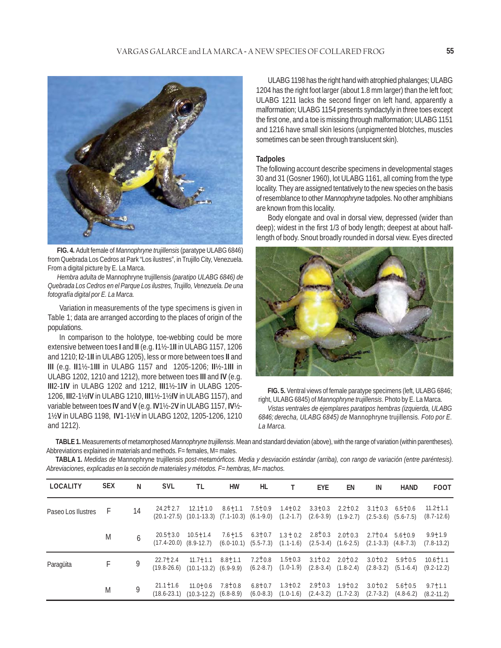

**FIG. 4.** Adult female of *Mannophryne trujillensis* (paratype ULABG 6846) from Quebrada Los Cedros at Park "Los ilustres", in Trujillo City, Venezuela. From a digital picture by E. La Marca.

*Hembra adulta de* Mannophryne trujillensis *(paratipo ULABG 6846) de Quebrada Los Cedros en el Parque Los ilustres, Trujillo, Venezuela. De una fotografía digital por E. La Marca.*

Variation in measurements of the type specimens is given in Table 1; data are arranged according to the places of origin of the populations.

In comparison to the holotype, toe-webbing could be more extensive between toes **I** and **II** (e.g. **I**1½-1**II** in ULABG 1157, 1206 and 1210; **I**2-1**II** in ULABG 1205), less or more between toes **II** and **III** (e.g. **II**1½-1**III** in ULABG 1157 and 1205-1206; **II**½-1**III** in ULABG 1202, 1210 and 1212), more between toes **III** and **IV** (e.g. **III**2-1**IV** in ULABG 1202 and 1212, **III**1½-1**IV** in ULABG 1205- 1206, **III**2-1½**IV** in ULABG 1210, **III**1½-1½**IV** in ULABG 1157), and variable between toes **IV** and **V** (e.g. **IV**1½-2**V** in ULABG 1157, **IV**½- 1½**V** in ULABG 1198, **IV**1-1½**V** in ULABG 1202, 1205-1206, 1210 and 1212).

ULABG 1198 has the right hand with atrophied phalanges; ULABG 1204 has the right foot larger (about 1.8 mm larger) than the left foot; ULABG 1211 lacks the second finger on left hand, apparently a malformation; ULABG 1154 presents syndactyly in three toes except the first one, and a toe is missing through malformation; ULABG 1151 and 1216 have small skin lesions (unpigmented blotches, muscles sometimes can be seen through translucent skin).

#### **Tadpoles**

The following account describe specimens in developmental stages 30 and 31 (Gosner 1960), lot ULABG 1161, all coming from the type locality. They are assigned tentatively to the new species on the basis of resemblance to other *Mannophryne* tadpoles. No other amphibians are known from this locality.

Body elongate and oval in dorsal view, depressed (wider than deep); widest in the first 1/3 of body length; deepest at about halflength of body. Snout broadly rounded in dorsal view. Eyes directed



**FIG. 5.** Ventral views of female paratype specimens (left, ULABG 6846; right, ULABG 6845) of *Mannophryne trujillensis*. Photo by E. La Marca.

*Vistas ventrales de ejemplares paratipos hembras (izquierda, ULABG 6846; derecha, ULABG 6845) de* Mannophryne trujillensis*. Foto por E. La Marca.*

**TABLE 1.** Measurements of metamorphosed *Mannophryne trujillensis*. Mean and standard deviation (above), with the range of variation (within parentheses). Abbreviations explained in materials and methods. F= females, M= males.

**TABLA 1.** *Medidas de* Mannophryne trujillensis *post-metamórficos. Media y desviación estándar (arriba), con rango de variación (entre paréntesis). Abreviaciones, explicadas en la sección de materiales y métodos. F= hembras, M= machos.*

| LOCALITY           | <b>SEX</b> | N  | <b>SVL</b>                        | TL                                                                                                       | HW                                                                                                  | HL                                        |                                                                                          | EYE                                 | EN                          | IN                           | <b>HAND</b>                              | <b>FOOT</b>                      |
|--------------------|------------|----|-----------------------------------|----------------------------------------------------------------------------------------------------------|-----------------------------------------------------------------------------------------------------|-------------------------------------------|------------------------------------------------------------------------------------------|-------------------------------------|-----------------------------|------------------------------|------------------------------------------|----------------------------------|
| Paseo Los Ilustres | $\pm$      | 14 | $24.2 \pm 2.7$                    | $12.1 + 1.0$<br>$(20.1-27.5)$ $(10.1-13.3)$ $(7.1-10.3)$ $(6.1-9.0)$ $(1.2-1.7)$ $(2.6-3.9)$ $(1.9-2.7)$ |                                                                                                     | $8.6 \pm 1.1$ $7.5 \pm 0.9$ $1.4 \pm 0.2$ |                                                                                          |                                     | $3.3 \pm 0.3$ $2.2 \pm 0.2$ | $3.1 \pm 0.3$<br>$(2.5-3.6)$ | $6.5 \pm 0.6$<br>$(5.6 - 7.5)$           | $11.2 \pm 1.1$<br>$(8.7-12.6)$   |
|                    | M          |    | $20.5 \pm 3.0$                    | $10.5 \pm 1.4$<br>$(17.4-20.0)$ $(8.9-12.7)$                                                             | $7.6 + 1.5$<br>$(6.0-10.1)$ $(5.5-7.3)$ $(1.1-1.6)$ $(2.5-3.4)$ $(1.6-2.5)$ $(2.1-3.3)$ $(4.8-7.3)$ |                                           | $6.3\pm0.7$ $1.3\pm0.2$ $2.8\pm0.3$ $2.0\pm0.3$                                          |                                     |                             | $2.7\pm0.4$ 5.6 $\pm0.9$     |                                          | $9.9 + 1.9$<br>$(7.8-13.2)$      |
| Paragüita          |            |    | $22.7 + 2.4$<br>$(19.8-26.6)$     | $11.7 \pm 1.1$<br>$(10.1-13.2)$ $(6.9-9.9)$                                                              | $8.8 \pm 1.1$                                                                                       | $7.2 \pm 0.8$<br>$(6.2 - 8.7)$            | $1.5 \pm 0.3$                                                                            | $(1.0-1.9)$ $(2.8-3.4)$ $(1.8-2.4)$ | $3.1 \pm 0.2$ $2.0 \pm 0.2$ | $3.0 \pm 0.2$                | $5.9 \pm 0.5$<br>$(2.8-3.2)$ $(5.1-6.4)$ | $10.6 \pm 1.1$<br>$(9.2 - 12.2)$ |
|                    | M          |    | $21.1 \pm 1.6$<br>$(18.6 - 23.1)$ | $11.0 + 0.6$<br>$(10.3-12.2)$ $(6.8-8.9)$                                                                | $7.8 \pm 0.8$                                                                                       | $6.8 \pm 0.7$                             | $1.3 \pm 0.2$<br>$(6.0-8.3)$ $(1.0-1.6)$ $(2.4-3.2)$ $(1.7-2.3)$ $(2.7-3.2)$ $(4.8-6.2)$ | $2.9 \pm 0.3$                       | $1.9 \pm 0.2$               | $3.0 \pm 0.2$                | $5.6 + 0.5$                              | $9.7 + 1.1$<br>$(8.2 - 11.2)$    |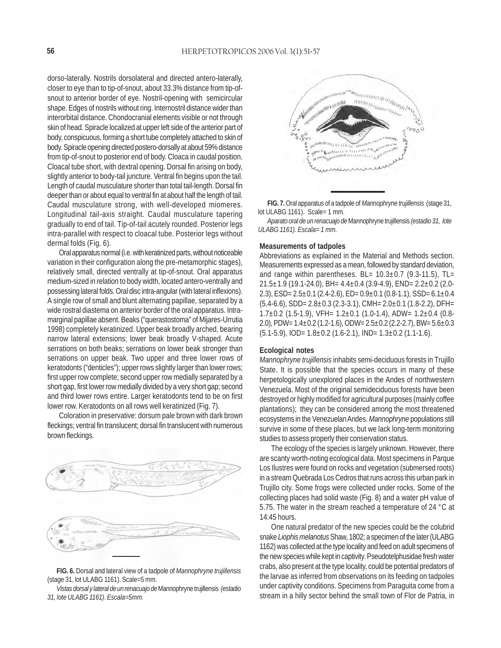dorso-laterally. Nostrils dorsolateral and directed antero-laterally, closer to eye than to tip-of-snout, about 33.3% distance from tip-ofsnout to anterior border of eye. Nostril-opening with semicircular shape. Edges of nostrils without ring. Internostril distance wider than interorbital distance. Chondocranial elements visible or not through skin of head. Spiracle localized at upper left side of the anterior part of body, conspicuous, forming a short tube completely attached to skin of body. Spiracle opening directed postero-dorsally at about 59% distance from tip-of-snout to posterior end of body. Cloaca in caudal position. Cloacal tube short, with dextral opening. Dorsal fin arising on body, slightly anterior to body-tail juncture. Ventral fin begins upon the tail. Length of caudal musculature shorter than total tail-length. Dorsal fin deeper than or about equal to ventral fin at about half the length of tail. Caudal musculature strong, with well-developed miomeres. Longitudinal tail-axis straight. Caudal musculature tapering gradually to end of tail. Tip-of-tail acutely rounded. Posterior legs intra-parallel with respect to cloacal tube. Posterior legs without dermal folds (Fig. 6).

Oral apparatus normal (i.e. with keratinized parts, without noticeable variation in their configuration along the pre-metamorphic stages), relatively small, directed ventrally at tip-of-snout. Oral apparatus medium-sized in relation to body width, located antero-ventrally and possessing lateral folds. Oral disc intra-angular (with lateral inflexions). A single row of small and blunt alternating papillae, separated by a wide rostral diastema on anterior border of the oral apparatus. Intramarginal papillae absent. Beaks ("querastostoma" of Mijares-Urrutia 1998) completely keratinized. Upper beak broadly arched, bearing narrow lateral extensions; lower beak broadly V-shaped. Acute serrations on both beaks; serrations on lower beak stronger than serrations on upper beak. Two upper and three lower rows of keratodonts ("denticles"); upper rows slightly larger than lower rows; first upper row complete; second upper row medially separated by a short gap, first lower row medially divided by a very short gap; second and third lower rows entire. Larger keratodonts tend to be on first lower row. Keratodonts on all rows well keratinized (Fig. 7).

Coloration in preservative: dorsum pale brown with dark brown fleckings; ventral fin translucent; dorsal fin translucent with numerous brown fleckings.



**FIG. 6.** Dorsal and lateral view of a tadpole of *Mannophryne trujillensis* (stage 31, lot ULABG 1161). Scale=5 mm.

*Vistas dorsal y lateral de un renacuajo de* Mannophryne trujillensis *(estadio 31, lote ULABG 1161). Escala=5mm.*



**FIG. 7.** Oral apparatus of a tadpole of *Mannophryne trujillensis* (stage 31, lot ULABG 1161). Scale= 1 mm.

*Aparato oral de un renacuajo de* Mannophryne trujillensis *(estadio 31, lote ULABG 1161). Escala= 1 mm.*

#### **Measurements of tadpoles**

Abbreviations as explained in the Material and Methods section. Measurements expressed as a mean, followed by standard deviation, and range within parentheses. BL=  $10.3\pm0.7$  (9.3-11.5), TL= 21.5 $\pm$ 1.9 (19.1-24.0), BH= 4.4 $\pm$ 0.4 (3.9-4.9), END= 2.2 $\pm$ 0.2 (2.0-2.3),  $ESD = 2.5 \pm 0.1$  (2.4-2.6),  $ED = 0.9 \pm 0.1$  (0.8-1.1),  $SSD = 6.1 \pm 0.4$  $(5.4-6.6)$ , SDD=  $2.8\pm0.3$  (2.3-3.1), CMH=  $2.0\pm0.1$  (1.8-2.2), DFH=  $1.7\pm0.2$  (1.5-1.9), VFH=  $1.2\pm0.1$  (1.0-1.4), ADW=  $1.2\pm0.4$  (0.8-2.0), PDW= 1.4±0.2 (1.2-1.6), ODW= 2.5±0.2 (2.2-2.7), BW= 5.6±0.3  $(5.1-5.9)$ , IOD=  $1.8\pm0.2$  (1.6-2.1), IND=  $1.3\pm0.2$  (1.1-1.6).

## **Ecological notes**

*Mannophryne trujillensis* inhabits semi-deciduous forests in Trujillo State. It is possible that the species occurs in many of these herpetologically unexplored places in the Andes of northwestern Venezuela. Most of the original semideciduous forests have been destroyed or highly modified for agricultural purposes (mainly coffee plantations); they can be considered among the most threatened ecosystems in the Venezuelan Andes. *Mannophryne* populations still survive in some of these places, but we lack long-term monitoring studies to assess properly their conservation status.

The ecology of the species is largely unknown. However, there are scanty worth-noting ecological data. Most specimens in Parque Los Ilustres were found on rocks and vegetation (submersed roots) in a stream Quebrada Los Cedros that runs across this urban park in Trujillo city. Some frogs were collected under rocks. Some of the collecting places had solid waste (Fig. 8) and a water pH value of 5.75. The water in the stream reached a temperature of 24 °C at  $14.45$  hours.

One natural predator of the new species could be the colubrid snake *Liophis melanotus* Shaw, 1802; a specimen of the later (ULABG 1162) was collected at the type locality and feed on adult specimens of the new species while kept in captivity. Pseudotelphusidae fresh water crabs, also present at the type locality, could be potential predators of the larvae as inferred from observations on its feeding on tadpoles under captivity conditions. Specimens from Paraguita come from a stream in a hilly sector behind the small town of Flor de Patria, in